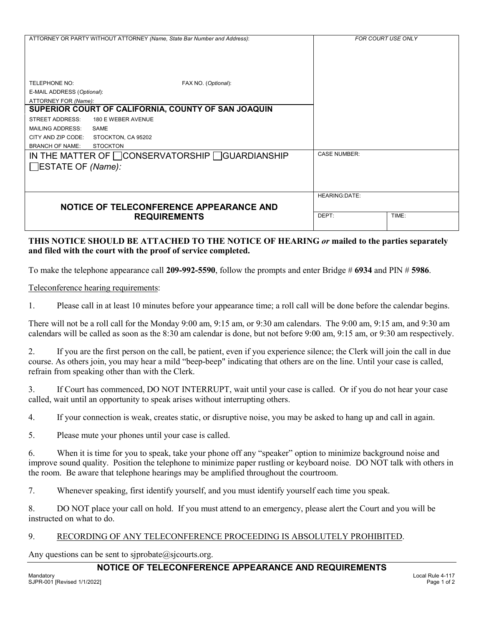|                                                    | ATTORNEY OR PARTY WITHOUT ATTORNEY (Name, State Bar Number and Address): | <b>FOR COURT USE ONLY</b> |       |
|----------------------------------------------------|--------------------------------------------------------------------------|---------------------------|-------|
| <b>TELEPHONE NO:</b>                               | FAX NO. (Optional):                                                      |                           |       |
| E-MAIL ADDRESS (Optional):                         |                                                                          |                           |       |
| ATTORNEY FOR (Name):                               |                                                                          |                           |       |
|                                                    | SUPERIOR COURT OF CALIFORNIA, COUNTY OF SAN JOAQUIN                      |                           |       |
| <b>STREET ADDRESS:</b>                             | 180 E WEBER AVENUE                                                       |                           |       |
| <b>MAILING ADDRESS:</b>                            | SAME                                                                     |                           |       |
| CITY AND ZIP CODE:                                 | STOCKTON, CA 95202                                                       |                           |       |
| <b>BRANCH OF NAME:</b><br>$\Box$ ESTATE OF (Name): | <b>STOCKTON</b><br>IN THE MATTER OF □ CONSERVATORSHIP □ GUARDIANSHIP     | <b>CASE NUMBER:</b>       |       |
|                                                    |                                                                          |                           |       |
|                                                    | NOTICE OF TELECONFERENCE APPEARANCE AND                                  | <b>HEARING:DATE:</b>      |       |
|                                                    | <b>REQUIREMENTS</b>                                                      | DEPT:                     | TIME: |

## **THIS NOTICE SHOULD BE ATTACHED TO THE NOTICE OF HEARING** *or* **mailed to the parties separately and filed with the court with the proof of service completed.**

To make the telephone appearance call **209-992-5590**, follow the prompts and enter Bridge # **6934** and PIN # **5986**.

Teleconference hearing requirements:

1. Please call in at least 10 minutes before your appearance time; a roll call will be done before the calendar begins.

There will not be a roll call for the Monday 9:00 am, 9:15 am, or 9:30 am calendars. The 9:00 am, 9:15 am, and 9:30 am calendars will be called as soon as the 8:30 am calendar is done, but not before 9:00 am, 9:15 am, or 9:30 am respectively.

2. If you are the first person on the call, be patient, even if you experience silence; the Clerk will join the call in due course. As others join, you may hear a mild "beep-beep" indicating that others are on the line. Until your case is called, refrain from speaking other than with the Clerk.

3. If Court has commenced, DO NOT INTERRUPT, wait until your case is called. Or if you do not hear your case called, wait until an opportunity to speak arises without interrupting others.

4. If your connection is weak, creates static, or disruptive noise, you may be asked to hang up and call in again.

5. Please mute your phones until your case is called.

6. When it is time for you to speak, take your phone off any "speaker" option to minimize background noise and improve sound quality. Position the telephone to minimize paper rustling or keyboard noise. DO NOT talk with others in the room. Be aware that telephone hearings may be amplified throughout the courtroom.

7. Whenever speaking, first identify yourself, and you must identify yourself each time you speak.

8. DO NOT place your call on hold. If you must attend to an emergency, please alert the Court and you will be instructed on what to do.

### 9. RECORDING OF ANY TELECONFERENCE PROCEEDING IS ABSOLUTELY PROHIBITED.

Any questions can be sent to sjprobate@sjcourts.org.

### **NOTICE OF TELECONFERENCE APPEARANCE AND REQUIREMENTS**